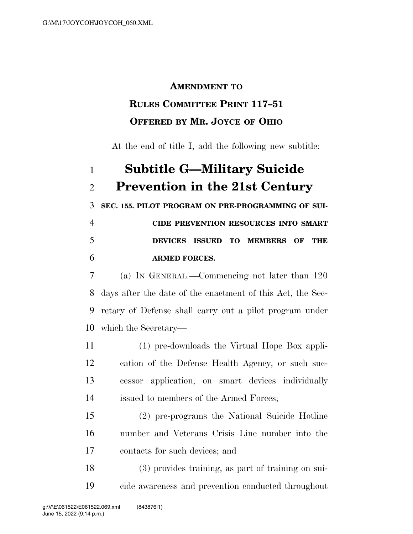## **AMENDMENT TO**

## **RULES COMMITTEE PRINT 117–51 OFFERED BY MR. JOYCE OF OHIO**

At the end of title I, add the following new subtitle:

## **Subtitle G—Military Suicide Prevention in the 21st Century SEC. 155. PILOT PROGRAM ON PRE-PROGRAMMING OF SUI- CIDE PREVENTION RESOURCES INTO SMART DEVICES ISSUED TO MEMBERS OF THE ARMED FORCES.**  (a) IN GENERAL.—Commencing not later than 120 days after the date of the enactment of this Act, the Sec- retary of Defense shall carry out a pilot program under which the Secretary— (1) pre-downloads the Virtual Hope Box appli- cation of the Defense Health Agency, or such suc- cessor application, on smart devices individually issued to members of the Armed Forces; (2) pre-programs the National Suicide Hotline number and Veterans Crisis Line number into the contacts for such devices; and (3) provides training, as part of training on sui-cide awareness and prevention conducted throughout